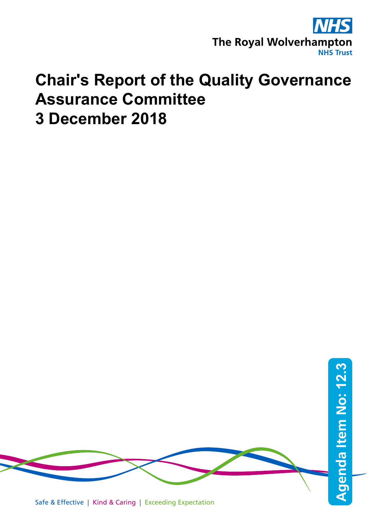

## **Chair's Report of the Quality Governance Assurance Committee 3 December 2018**

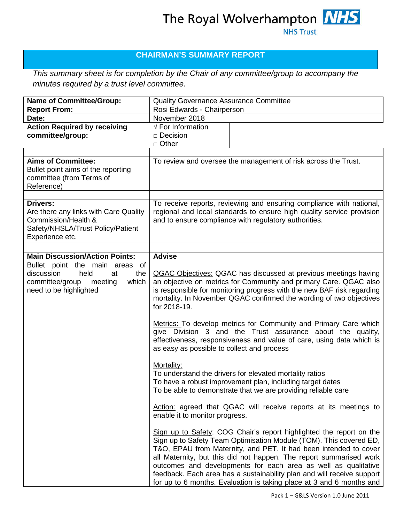## The Royal Wolverhampton **NHS NHS Trust**

### **CHAIRMAN'S SUMMARY REPORT**

*This summary sheet is for completion by the Chair of any committee/group to accompany the minutes required by a trust level committee.*

| <b>Name of Committee/Group:</b>                                                                                                         | Quality Governance Assurance Committee                                                                                                                                                                                                                                                                                                                                                                                                                                                                  |
|-----------------------------------------------------------------------------------------------------------------------------------------|---------------------------------------------------------------------------------------------------------------------------------------------------------------------------------------------------------------------------------------------------------------------------------------------------------------------------------------------------------------------------------------------------------------------------------------------------------------------------------------------------------|
| <b>Report From:</b>                                                                                                                     | Rosi Edwards - Chairperson                                                                                                                                                                                                                                                                                                                                                                                                                                                                              |
| Date:                                                                                                                                   | November 2018                                                                                                                                                                                                                                                                                                                                                                                                                                                                                           |
| <b>Action Required by receiving</b><br>committee/group:                                                                                 | $\sqrt{\overline{F}}$ For Information<br>$\Box$ Decision<br>$\Box$ Other                                                                                                                                                                                                                                                                                                                                                                                                                                |
|                                                                                                                                         |                                                                                                                                                                                                                                                                                                                                                                                                                                                                                                         |
| <b>Aims of Committee:</b><br>Bullet point aims of the reporting<br>committee (from Terms of<br>Reference)                               | To review and oversee the management of risk across the Trust.                                                                                                                                                                                                                                                                                                                                                                                                                                          |
| <b>Drivers:</b><br>Are there any links with Care Quality<br>Commission/Health &<br>Safety/NHSLA/Trust Policy/Patient<br>Experience etc. | To receive reports, reviewing and ensuring compliance with national,<br>regional and local standards to ensure high quality service provision<br>and to ensure compliance with regulatory authorities.                                                                                                                                                                                                                                                                                                  |
| <b>Main Discussion/Action Points:</b>                                                                                                   | <b>Advise</b>                                                                                                                                                                                                                                                                                                                                                                                                                                                                                           |
| Bullet point the main areas of<br>discussion<br>held<br>the<br>at<br>which<br>committee/group<br>meeting<br>need to be highlighted      | <b>QGAC Objectives: QGAC has discussed at previous meetings having</b><br>an objective on metrics for Community and primary Care. QGAC also<br>is responsible for monitoring progress with the new BAF risk regarding<br>mortality. In November QGAC confirmed the wording of two objectives<br>for 2018-19.<br>Metrics: To develop metrics for Community and Primary Care which<br>give Division 3 and the Trust assurance about the quality,                                                          |
|                                                                                                                                         | effectiveness, responsiveness and value of care, using data which is<br>as easy as possible to collect and process<br>Mortality:<br>To understand the drivers for elevated mortality ratios<br>To have a robust improvement plan, including target dates<br>To be able to demonstrate that we are providing reliable care                                                                                                                                                                               |
|                                                                                                                                         | Action: agreed that QGAC will receive reports at its meetings to<br>enable it to monitor progress.                                                                                                                                                                                                                                                                                                                                                                                                      |
|                                                                                                                                         | Sign up to Safety: COG Chair's report highlighted the report on the<br>Sign up to Safety Team Optimisation Module (TOM). This covered ED,<br>T&O, EPAU from Maternity, and PET. It had been intended to cover<br>all Maternity, but this did not happen. The report summarised work<br>outcomes and developments for each area as well as qualitative<br>feedback. Each area has a sustainability plan and will receive support<br>for up to 6 months. Evaluation is taking place at 3 and 6 months and |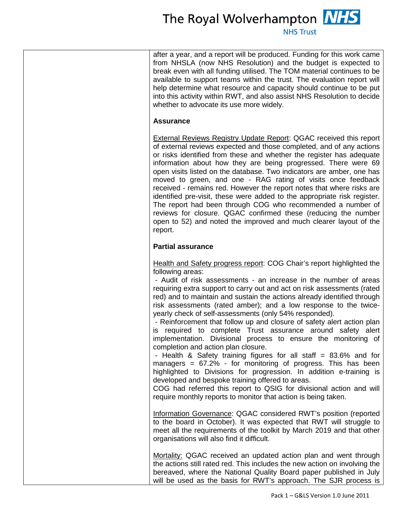## The Royal Wolverhampton **NHS**

**NHS Trust** 

after a year, and a report will be produced. Funding for this work came from NHSLA (now NHS Resolution) and the budget is expected to break even with all funding utilised. The TOM material continues to be available to support teams within the trust. The evaluation report will help determine what resource and capacity should continue to be put into this activity within RWT, and also assist NHS Resolution to decide whether to advocate its use more widely.

#### **Assurance**

**External Reviews Registry Update Report: QGAC received this report** of external reviews expected and those completed, and of any actions or risks identified from these and whether the register has adequate information about how they are being progressed. There were 69 open visits listed on the database. Two indicators are amber, one has moved to green, and one - RAG rating of visits once feedback received - remains red. However the report notes that where risks are identified pre-visit, these were added to the appropriate risk register. The report had been through COG who recommended a number of reviews for closure. QGAC confirmed these (reducing the number open to 52) and noted the improved and much clearer layout of the report.

#### **Partial assurance**

Health and Safety progress report: COG Chair's report highlighted the following areas:

- Audit of risk assessments - an increase in the number of areas requiring extra support to carry out and act on risk assessments (rated red) and to maintain and sustain the actions already identified through risk assessments (rated amber); and a low response to the twiceyearly check of self-assessments (only 54% responded).

- Reinforcement that follow up and closure of safety alert action plan is required to complete Trust assurance around safety alert implementation. Divisional process to ensure the monitoring of completion and action plan closure.

- Health & Safety training figures for all staff = 83.6% and for managers  $= 67.2\%$  - for monitoring of progress. This has been highlighted to Divisions for progression. In addition e-training is developed and bespoke training offered to areas.

COG had referred this report to QSIG for divisional action and will require monthly reports to monitor that action is being taken.

Information Governance: QGAC considered RWT's position (reported to the board in October). It was expected that RWT will struggle to meet all the requirements of the toolkit by March 2019 and that other organisations will also find it difficult.

Mortality: QGAC received an updated action plan and went through the actions still rated red. This includes the new action on involving the bereaved, where the National Quality Board paper published in July will be used as the basis for RWT's approach. The SJR process is